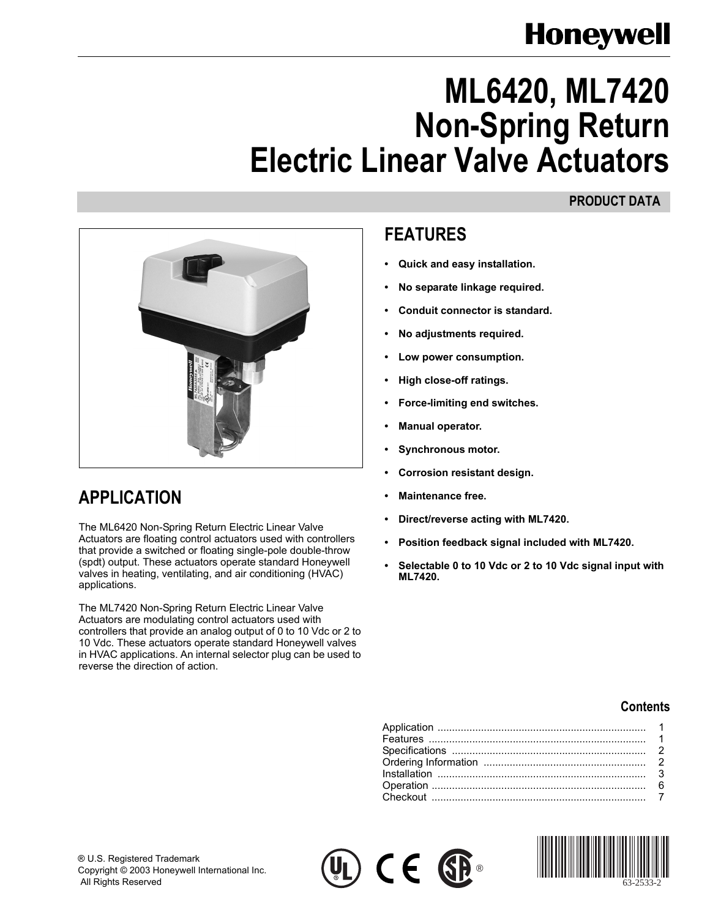# **Honeywell**

# **ML6420, ML7420 Non-Spring Return Electric Linear Valve Actuators**

#### **PRODUCT DATA**



## <span id="page-0-0"></span>**APPLICATION**

The ML6420 Non-Spring Return Electric Linear Valve Actuators are floating control actuators used with controllers that provide a switched or floating single-pole double-throw (spdt) output. These actuators operate standard Honeywell valves in heating, ventilating, and air conditioning (HVAC) applications.

The ML7420 Non-Spring Return Electric Linear Valve Actuators are modulating control actuators used with controllers that provide an analog output of 0 to 10 Vdc or 2 to 10 Vdc. These actuators operate standard Honeywell valves in HVAC applications. An internal selector plug can be used to reverse the direction of action.

### <span id="page-0-1"></span>**FEATURES**

- **ï Quick and easy installation.**
- **ï No separate linkage required.**
- **ï Conduit connector is standard.**
- **ï No adjustments required.**
- Low power consumption.
- **ï High close-off ratings.**
- **ï Force-limiting end switches.**
- **ï Manual operator.**
- **ï Synchronous motor.**
- **ï Corrosion resistant design.**
- **ï Maintenance free.**
- **ï Direct/reverse acting with ML7420.**
- **ï Position feedback signal included with ML7420.**
- **ï Selectable 0 to 10 Vdc or 2 to 10 Vdc signal input with ML7420.**

#### **Contents**





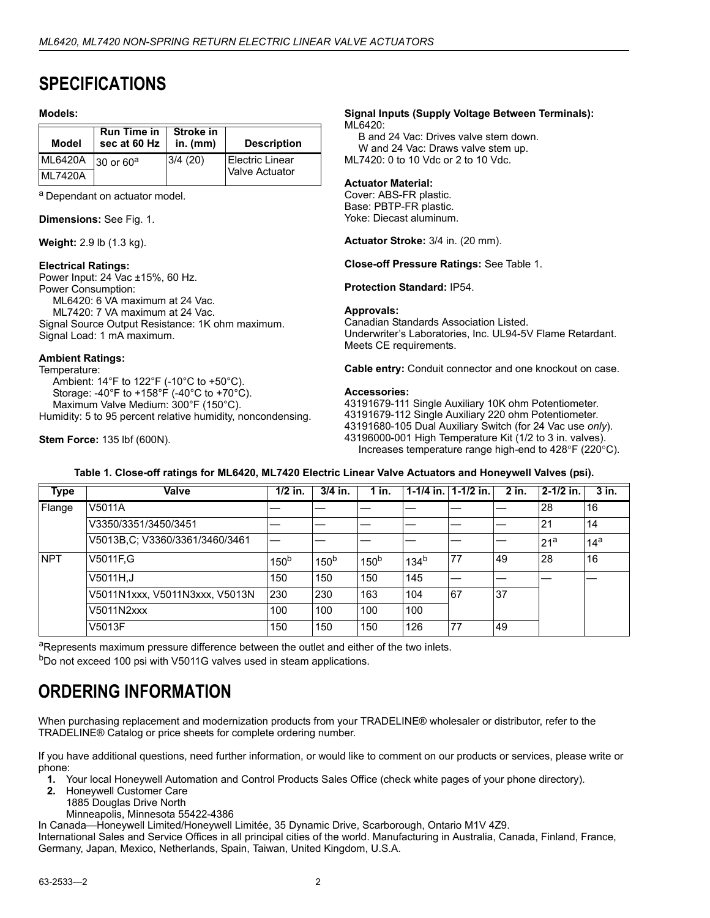### <span id="page-1-0"></span>**SPECIFICATIONS**

#### **Models:**

| Model          | <b>Run Time in</b><br>sec at 60 Hz | Stroke in<br>$in.$ (mm) | <b>Description</b>     |
|----------------|------------------------------------|-------------------------|------------------------|
| <b>ML6420A</b> | 30 or 60 <sup>a</sup>              | 3/4(20)                 | <b>Electric Linear</b> |
| <b>ML7420A</b> |                                    |                         | Valve Actuator         |

a Dependant on actuator model.

**Dimensions:** See Fig. 1.

**Weight:** 2.9 lb (1.3 kg).

#### **Electrical Ratings:**

Power Input: 24 Vac ±15%, 60 Hz. Power Consumption: ML6420: 6 VA maximum at 24 Vac. ML7420: 7 VA maximum at 24 Vac. Signal Source Output Resistance: 1K ohm maximum. Signal Load: 1 mA maximum.

#### **Ambient Ratings:**

Temperature: Ambient: 14°F to 122°F (-10°C to +50°C). Storage: -40°F to +158°F (-40°C to +70°C). Maximum Valve Medium: 300°F (150°C). Humidity: 5 to 95 percent relative humidity, noncondensing.

**Stem Force:** 135 lbf (600N).

#### **Signal Inputs (Supply Voltage Between Terminals):** ML6420:

B and 24 Vac: Drives valve stem down. W and 24 Vac: Draws valve stem up. ML7420: 0 to 10 Vdc or 2 to 10 Vdc.

#### **Actuator Material:**

Cover: ABS-FR plastic. Base: PBTP-FR plastic. Yoke: Diecast aluminum.

**Actuator Stroke:** 3/4 in. (20 mm).

**Close-off Pressure Ratings:** See Table 1.

**Protection Standard:** IP54.

#### **Approvals:**

Canadian Standards Association Listed. Underwriterís Laboratories, Inc. UL94-5V Flame Retardant. Meets CE requirements.

**Cable entry:** Conduit connector and one knockout on case.

#### **Accessories:**

43191679-111 Single Auxiliary 10K ohm Potentiometer. 43191679-112 Single Auxiliary 220 ohm Potentiometer. 43191680-105 Dual Auxiliary Switch (for 24 Vac use *only*). 43196000-001 High Temperature Kit (1/2 to 3 in. valves). Increases temperature range high-end to 428°F (220°C).

| <b>Type</b> | <b>Valve</b>                   | $1/2$ in.        | $3/4$ in.        | $1$ in.          |                  | 1-1/4 in. $1-1/2$ in. | 2 in. | $2 - 1/2$ in.   | $3$ in.         |
|-------------|--------------------------------|------------------|------------------|------------------|------------------|-----------------------|-------|-----------------|-----------------|
| Flange      | V5011A                         |                  |                  |                  |                  |                       |       | 28              | 16              |
|             | V3350/3351/3450/3451           |                  |                  |                  |                  |                       |       | 21              | 14              |
|             | V5013B,C; V3360/3361/3460/3461 |                  |                  |                  |                  |                       |       | 21 <sup>a</sup> | 14 <sup>a</sup> |
| <b>NPT</b>  | V5011F.G                       | 150 <sup>b</sup> | 150 <sup>b</sup> | 150 <sup>b</sup> | 134 <sup>b</sup> | 177                   | 49    | 28              | 16              |
|             | V5011H.J                       | 150              | 150              | 150              | 145              |                       |       |                 |                 |
|             | V5011N1xxx, V5011N3xxx, V5013N | 230              | 230              | 163              | 104              | 67                    | 37    |                 |                 |
|             | V5011N2xxx                     | 100              | 100              | 100              | 100              |                       |       |                 |                 |
|             | V5013F                         | 150              | 150              | 150              | 126              | 77                    | 49    |                 |                 |

#### **Table 1. Close-off ratings for ML6420, ML7420 Electric Linear Valve Actuators and Honeywell Valves (psi).**

aRepresents maximum pressure difference between the outlet and either of the two inlets. b<sub>Do</sub> not exceed 100 psi with V5011G valves used in steam applications.

### **ORDERING INFORMATION**

When purchasing replacement and modernization products from your TRADELINE® wholesaler or distributor, refer to the TRADELINEÆ Catalog or price sheets for complete ordering number.

If you have additional questions, need further information, or would like to comment on our products or services, please write or phone:

- **1.** Your local Honeywell Automation and Control Products Sales Office (check white pages of your phone directory).
- **2.** Honeywell Customer Care
	- 1885 Douglas Drive North
	- Minneapolis, Minnesota 55422-4386

In Canada—Honeywell Limited/Honeywell Limitée, 35 Dynamic Drive, Scarborough, Ontario M1V 4Z9.

International Sales and Service Offices in all principal cities of the world. Manufacturing in Australia, Canada, Finland, France, Germany, Japan, Mexico, Netherlands, Spain, Taiwan, United Kingdom, U.S.A.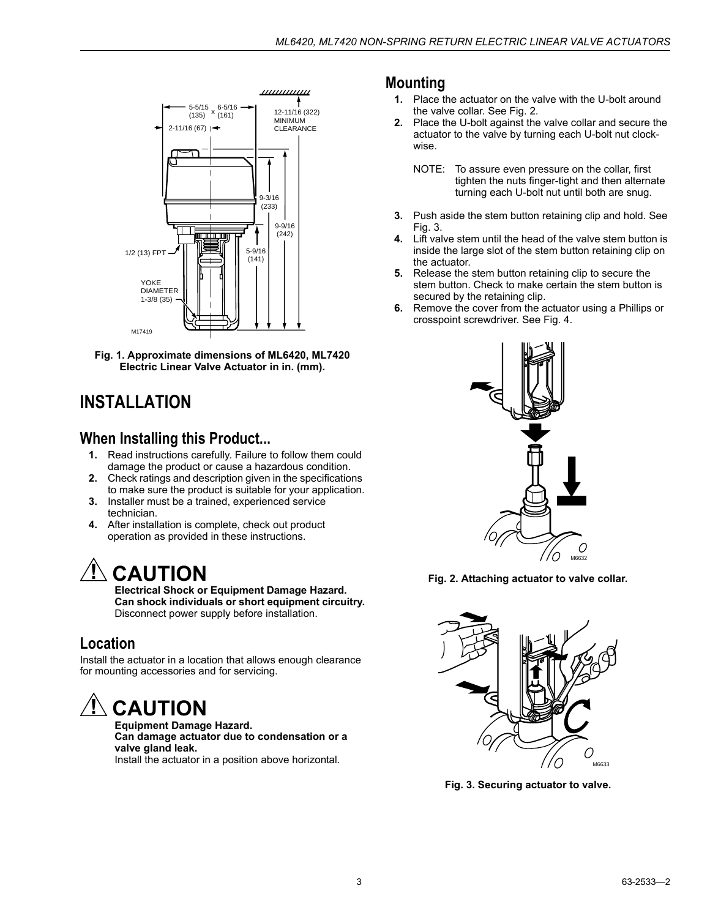

**Fig. 1. Approximate dimensions of ML6420, ML7420 Electric Linear Valve Actuator in in. (mm).**

### <span id="page-2-0"></span>**INSTALLATION**

#### **When Installing this Product...**

- **1.** Read instructions carefully. Failure to follow them could damage the product or cause a hazardous condition.
- **2.** Check ratings and description given in the specifications to make sure the product is suitable for your application.
- **3.** Installer must be a trained, experienced service technician.
- **4.** After installation is complete, check out product operation as provided in these instructions.

# **CAUTION**

**Electrical Shock or Equipment Damage Hazard. Can shock individuals or short equipment circuitry.** Disconnect power supply before installation.

### **Location**

Install the actuator in a location that allows enough clearance for mounting accessories and for servicing.

# **CAUTION**

**Equipment Damage Hazard. Can damage actuator due to condensation or a valve gland leak.**

Install the actuator in a position above horizontal.

#### **Mounting**

- **1.** Place the actuator on the valve with the U-bolt around the valve collar. See Fig. 2.
- **2.** Place the U-bolt against the valve collar and secure the actuator to the valve by turning each U-bolt nut clockwise.
	- NOTE: To assure even pressure on the collar, first tighten the nuts finger-tight and then alternate turning each U-bolt nut until both are snug.
- **3.** Push aside the stem button retaining clip and hold. See Fig. 3.
- **4.** Lift valve stem until the head of the valve stem button is inside the large slot of the stem button retaining clip on the actuator.
- **5.** Release the stem button retaining clip to secure the stem button. Check to make certain the stem button is secured by the retaining clip.
- **6.** Remove the cover from the actuator using a Phillips or crosspoint screwdriver. See Fig. 4.



**Fig. 2. Attaching actuator to valve collar.**



**Fig. 3. Securing actuator to valve.**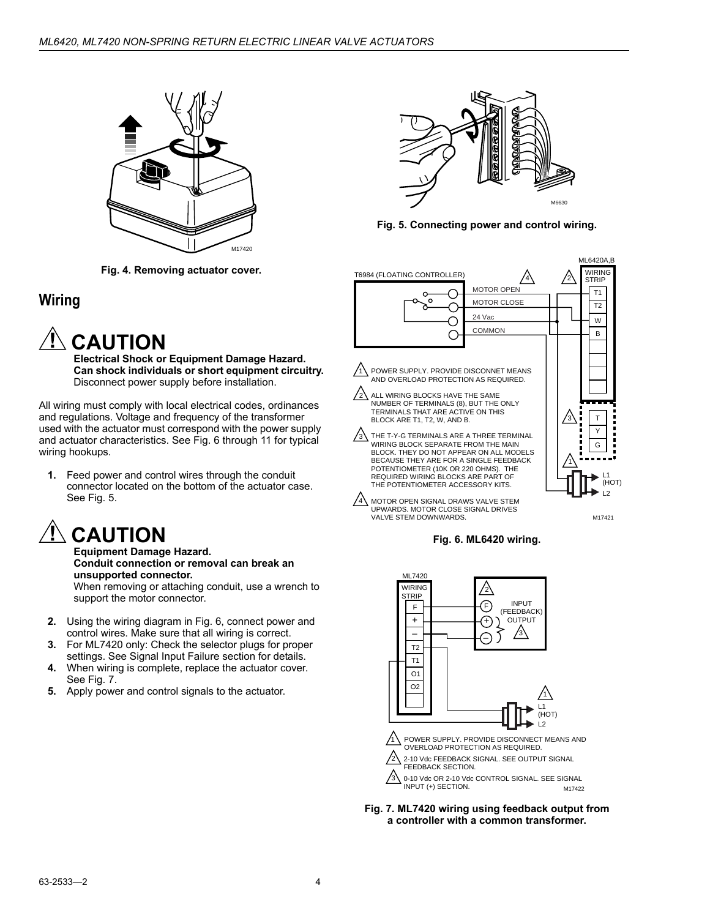

**Fig. 4. Removing actuator cover.**

#### **Wiring**



**Electrical Shock or Equipment Damage Hazard. Can shock individuals or short equipment circuitry.** Disconnect power supply before installation.

All wiring must comply with local electrical codes, ordinances and regulations. Voltage and frequency of the transformer used with the actuator must correspond with the power supply and actuator characteristics. See Fig. 6 through 11 for typical wiring hookups.

**1.** Feed power and control wires through the conduit connector located on the bottom of the actuator case. See Fig. 5.



**Equipment Damage Hazard. Conduit connection or removal can break an unsupported connector.** When removing or attaching conduit, use a wrench to support the motor connector.

- **2.** Using the wiring diagram in Fig. 6, connect power and control wires. Make sure that all wiring is correct.
- **3.** For ML7420 only: Check the selector plugs for proper settings. See Signal Input Failure section for details.
- **4.** When wiring is complete, replace the actuator cover. See Fig. 7.
- **5.** Apply power and control signals to the actuator.



**Fig. 5. Connecting power and control wiring.**



M17421





**Fig. 7. ML7420 wiring using feedback output from a controller with a common transformer.**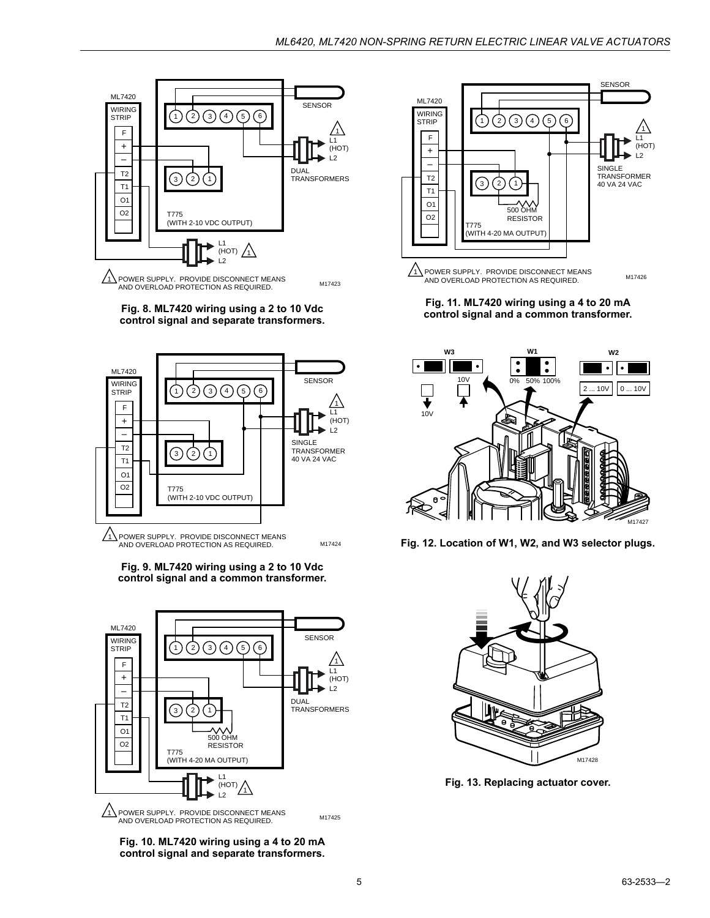

POWER SUPPLY. PROVIDE DISCONNECT MEANS M17423

**Fig. 8. ML7420 wiring using a 2 to 10 Vdc control signal and separate transformers.**



**Fig. 9. ML7420 wiring using a 2 to 10 Vdc control signal and a common transformer.**



**Fig. 10. ML7420 wiring using a 4 to 20 mA control signal and separate transformers.**



**Fig. 11. ML7420 wiring using a 4 to 20 mA control signal and a common transformer.**



**Fig. 12. Location of W1, W2, and W3 selector plugs.**



**Fig. 13. Replacing actuator cover.**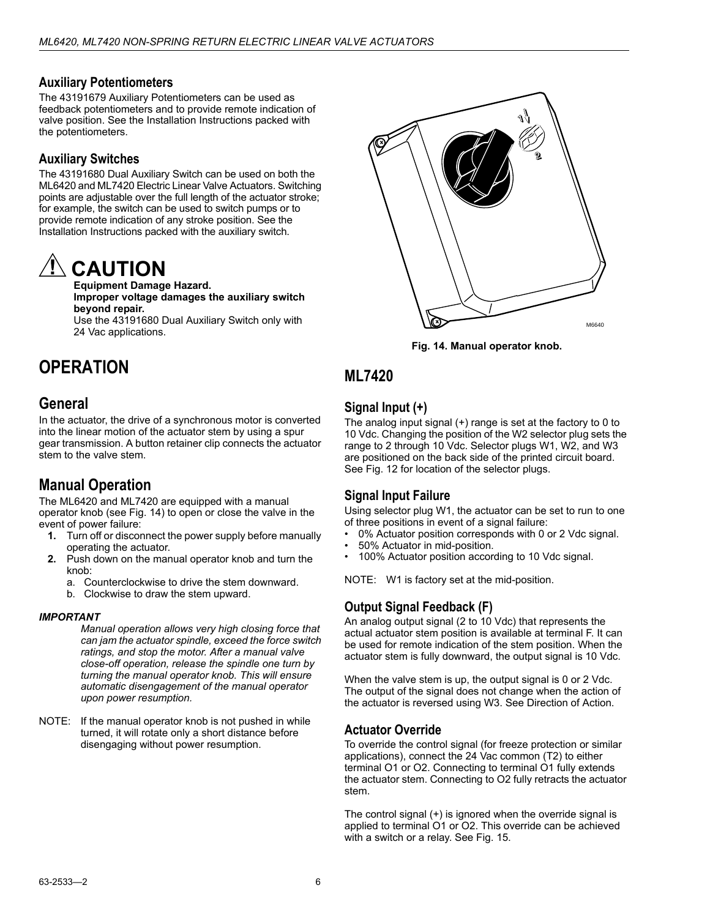#### **Auxiliary Potentiometers**

The 43191679 Auxiliary Potentiometers can be used as feedback potentiometers and to provide remote indication of valve position. See the Installation Instructions packed with the potentiometers.

#### **Auxiliary Switches**

The 43191680 Dual Auxiliary Switch can be used on both the ML6420 and ML7420 Electric Linear Valve Actuators. Switching points are adjustable over the full length of the actuator stroke; for example, the switch can be used to switch pumps or to provide remote indication of any stroke position. See the Installation Instructions packed with the auxiliary switch.

# **CAUTION**

**Equipment Damage Hazard. Improper voltage damages the auxiliary switch beyond repair.**

Use the 43191680 Dual Auxiliary Switch only with 24 Vac applications.

## <span id="page-5-0"></span>**OPERATION**

#### **General**

In the actuator, the drive of a synchronous motor is converted into the linear motion of the actuator stem by using a spur gear transmission. A button retainer clip connects the actuator stem to the valve stem.

### **Manual Operation**

The ML6420 and ML7420 are equipped with a manual operator knob (see Fig. 14) to open or close the valve in the event of power failure:

- **1.** Turn off or disconnect the power supply before manually operating the actuator.
- **2.** Push down on the manual operator knob and turn the knob:
	- a. Counterclockwise to drive the stem downward.
	- b. Clockwise to draw the stem upward.

#### *IMPORTANT*

*Manual operation allows very high closing force that can jam the actuator spindle, exceed the force switch ratings, and stop the motor. After a manual valve close-off operation, release the spindle one turn by turning the manual operator knob. This will ensure automatic disengagement of the manual operator upon power resumption.*

NOTE: If the manual operator knob is not pushed in while turned, it will rotate only a short distance before disengaging without power resumption.



**Fig. 14. Manual operator knob.**

#### **ML7420**

#### **Signal Input (+)**

The analog input signal (+) range is set at the factory to 0 to 10 Vdc. Changing the position of the W2 selector plug sets the range to 2 through 10 Vdc. Selector plugs W1, W2, and W3 are positioned on the back side of the printed circuit board. See Fig. 12 for location of the selector plugs.

#### **Signal Input Failure**

Using selector plug W1, the actuator can be set to run to one of three positions in event of a signal failure:

- 0% Actuator position corresponds with 0 or 2 Vdc signal.
- 50% Actuator in mid-position.
- 100% Actuator position according to 10 Vdc signal.

NOTE: W1 is factory set at the mid-position.

#### **Output Signal Feedback (F)**

An analog output signal (2 to 10 Vdc) that represents the actual actuator stem position is available at terminal F. It can be used for remote indication of the stem position. When the actuator stem is fully downward, the output signal is 10 Vdc.

When the valve stem is up, the output signal is 0 or 2 Vdc. The output of the signal does not change when the action of the actuator is reversed using W3. See Direction of Action.

#### **Actuator Override**

To override the control signal (for freeze protection or similar applications), connect the 24 Vac common (T2) to either terminal O1 or O2. Connecting to terminal O1 fully extends the actuator stem. Connecting to O2 fully retracts the actuator stem.

The control signal (+) is ignored when the override signal is applied to terminal O1 or O2. This override can be achieved with a switch or a relay. See Fig. 15.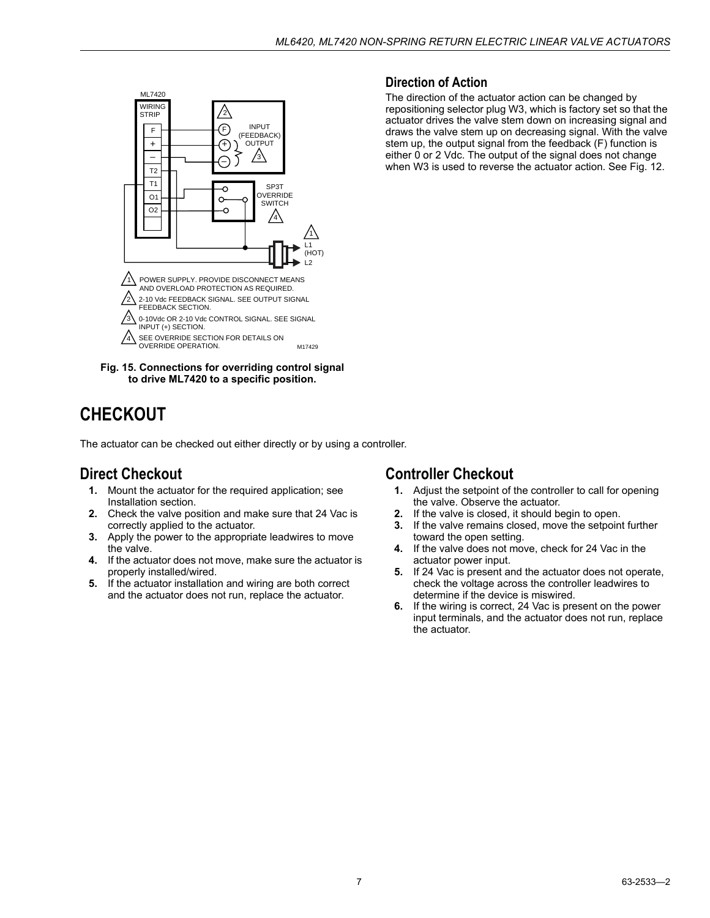

**Fig. 15. Connections for overriding control signal to drive ML7420 to a specific position.**

### <span id="page-6-0"></span>**CHECKOUT**

The actuator can be checked out either directly or by using a controller.

#### **Direct Checkout**

- **1.** Mount the actuator for the required application; see Installation section.
- **2.** Check the valve position and make sure that 24 Vac is correctly applied to the actuator.
- **3.** Apply the power to the appropriate leadwires to move the valve.
- **4.** If the actuator does not move, make sure the actuator is properly installed/wired.
- **5.** If the actuator installation and wiring are both correct and the actuator does not run, replace the actuator.

#### **Direction of Action**

The direction of the actuator action can be changed by repositioning selector plug W3, which is factory set so that the actuator drives the valve stem down on increasing signal and draws the valve stem up on decreasing signal. With the valve stem up, the output signal from the feedback (F) function is either 0 or 2 Vdc. The output of the signal does not change when W3 is used to reverse the actuator action. See Fig. 12.

#### **Controller Checkout**

- **1.** Adjust the setpoint of the controller to call for opening the valve. Observe the actuator.
- **2.** If the valve is closed, it should begin to open.
- **3.** If the valve remains closed, move the setpoint further toward the open setting.
- **4.** If the valve does not move, check for 24 Vac in the actuator power input.
- **5.** If 24 Vac is present and the actuator does not operate, check the voltage across the controller leadwires to determine if the device is miswired.
- **6.** If the wiring is correct, 24 Vac is present on the power input terminals, and the actuator does not run, replace the actuator.